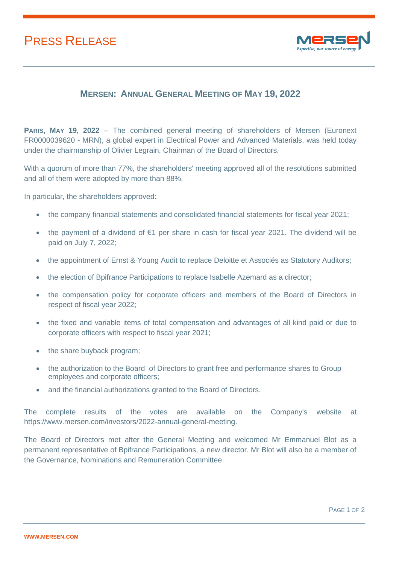## PRESS RELEASE



## **MERSEN: ANNUAL GENERAL MEETING OF MAY 19, 2022**

**PARIS, MAY 19, 2022** – The combined general meeting of shareholders of Mersen (Euronext FR0000039620 - MRN), a global expert in Electrical Power and Advanced Materials, was held today under the chairmanship of Olivier Legrain, Chairman of the Board of Directors.

With a quorum of more than 77%, the shareholders' meeting approved all of the resolutions submitted and all of them were adopted by more than 88%.

In particular, the shareholders approved:

- the company financial statements and consolidated financial statements for fiscal year 2021;
- the payment of a dividend of €1 per share in cash for fiscal year 2021. The dividend will be paid on July 7, 2022;
- the appointment of Ernst & Young Audit to replace Deloitte et Associés as Statutory Auditors;
- the election of Bpifrance Participations to replace Isabelle Azemard as a director;
- the compensation policy for corporate officers and members of the Board of Directors in respect of fiscal year 2022;
- the fixed and variable items of total compensation and advantages of all kind paid or due to corporate officers with respect to fiscal year 2021;
- the share buyback program;
- the authorization to the Board of Directors to grant free and performance shares to Group employees and corporate officers;
- and the financial authorizations granted to the Board of Directors.

The complete results of the votes are available on the Company's website at https://www.mersen.com/investors/2022-annual-general-meeting.

The Board of Directors met after the General Meeting and welcomed Mr Emmanuel Blot as a permanent representative of Bpifrance Participations, a new director. Mr Blot will also be a member of the Governance, Nominations and Remuneration Committee.